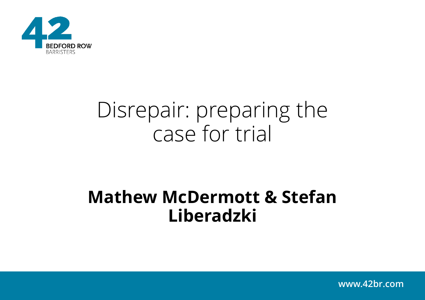

# Disrepair: preparing the case for trial

### **Mathew McDermott & Stefan Liberadzki**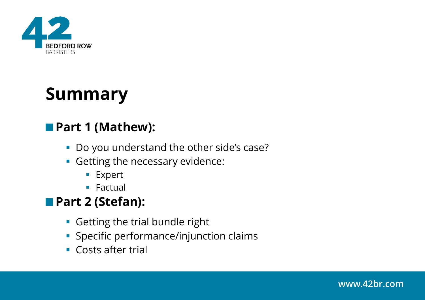

### **Summary**

### **Part 1 (Mathew):**

- Do you understand the other side's case?
- **Getting the necessary evidence:** 
	- Expert
	- Factual

### **Part 2 (Stefan):**

- **Getting the trial bundle right**
- **Specific performance/injunction claims**
- Costs after trial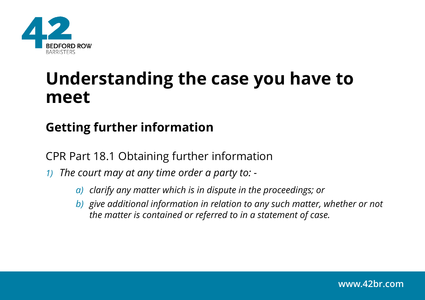

### **Understanding the case you have to meet**

### **Getting further information**

CPR Part 18.1 Obtaining further information

- *1) The court may at any time order a party to:* 
	- *a) clarify any matter which is in dispute in the proceedings; or*
	- *b) give additional information in relation to any such matter, whether or not the matter is contained or referred to in a statement of case.*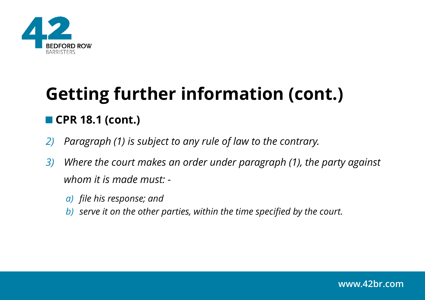

# **Getting further information (cont.)** ■ CPR 18.1 (cont.)

- *2) Paragraph (1) is subject to any rule of law to the contrary.*
- *3) Where the court makes an order under paragraph (1), the party against whom it is made must:* 
	- *a) file his response; and*
	- *b) serve it on the other parties, within the time specified by the court.*

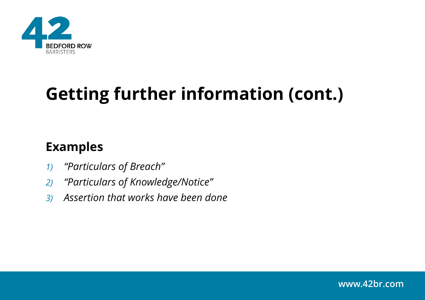

# **Getting further information (cont.)**

### **Examples**

- *1) "Particulars of Breach"*
- *2) "Particulars of Knowledge/Notice"*
- *3) Assertion that works have been done*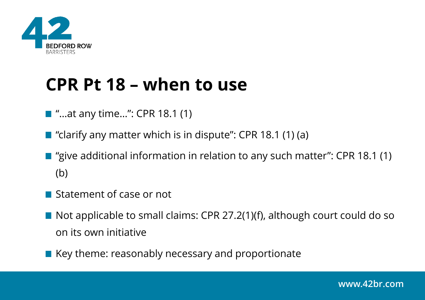

## **CPR Pt 18 – when to use**

- $\blacksquare$  "...at any time...": CPR 18.1 (1)
- $\blacksquare$  "clarify any matter which is in dispute": CPR 18.1 (1) (a)
- "give additional information in relation to any such matter": CPR 18.1 (1) (b)
- Statement of case or not
- Not applicable to small claims: CPR 27.2(1)(f), although court could do so on its own initiative
- $\blacksquare$  Key theme: reasonably necessary and proportionate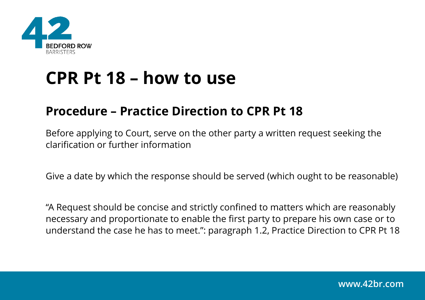

### **CPR Pt 18 – how to use**

### **Procedure – Practice Direction to CPR Pt 18**

Before applying to Court, serve on the other party a written request seeking the clarification or further information

Give a date by which the response should be served (which ought to be reasonable)

"A Request should be concise and strictly confined to matters which are reasonably necessary and proportionate to enable the first party to prepare his own case or to understand the case he has to meet.": paragraph 1.2, Practice Direction to CPR Pt 18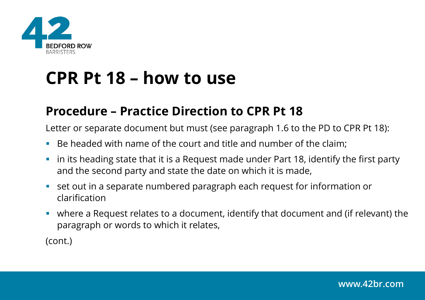

## **CPR Pt 18 – how to use**

### **Procedure – Practice Direction to CPR Pt 18**

Letter or separate document but must (see paragraph 1.6 to the PD to CPR Pt 18):

- Be headed with name of the court and title and number of the claim;
- in its heading state that it is a Request made under Part 18, identify the first party and the second party and state the date on which it is made,
- set out in a separate numbered paragraph each request for information or clarification
- where a Request relates to a document, identify that document and (if relevant) the paragraph or words to which it relates,

(cont.)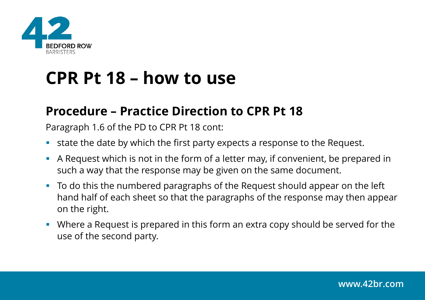

## **CPR Pt 18 – how to use**

### **Procedure – Practice Direction to CPR Pt 18**

Paragraph 1.6 of the PD to CPR Pt 18 cont:

- state the date by which the first party expects a response to the Request.
- A Request which is not in the form of a letter may, if convenient, be prepared in such a way that the response may be given on the same document.
- To do this the numbered paragraphs of the Request should appear on the left hand half of each sheet so that the paragraphs of the response may then appear on the right.
- Where a Request is prepared in this form an extra copy should be served for the use of the second party.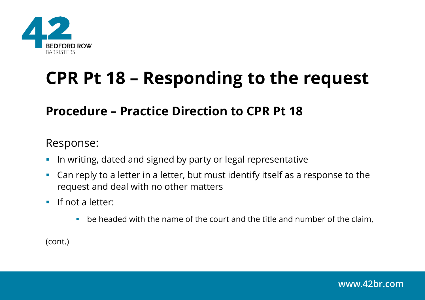

# **CPR Pt 18 – Responding to the request**

#### **Procedure – Practice Direction to CPR Pt 18**

#### Response:

- **.** In writing, dated and signed by party or legal representative
- Can reply to a letter in a letter, but must identify itself as a response to the request and deal with no other matters
- **•** If not a letter:
	- $\blacksquare$  be headed with the name of the court and the title and number of the claim,

(cont.)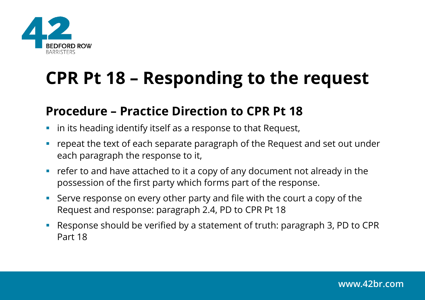

# **CPR Pt 18 – Responding to the request**

#### **Procedure – Practice Direction to CPR Pt 18**

- **·** in its heading identify itself as a response to that Request,
- repeat the text of each separate paragraph of the Request and set out under each paragraph the response to it,
- refer to and have attached to it a copy of any document not already in the possession of the first party which forms part of the response.
- Serve response on every other party and file with the court a copy of the Request and response: paragraph 2.4, PD to CPR Pt 18
- Response should be verified by a statement of truth: paragraph 3, PD to CPR Part 18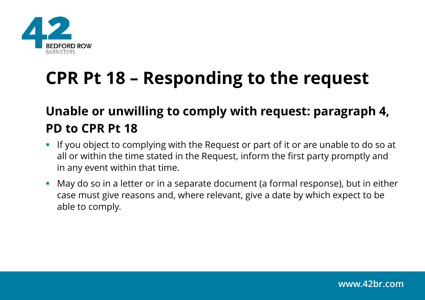

# **CPR Pt 18 – Responding to the request**

### **Unable or unwilling to comply with request: paragraph 4, PD to CPR Pt 18**

- **.** If you object to complying with the Request or part of it or are unable to do so at all or within the time stated in the Request, inform the first party promptly and in any event within that time.
- May do so in a letter or in a separate document (a formal response), but in either case must give reasons and, where relevant, give a date by which expect to be able to comply.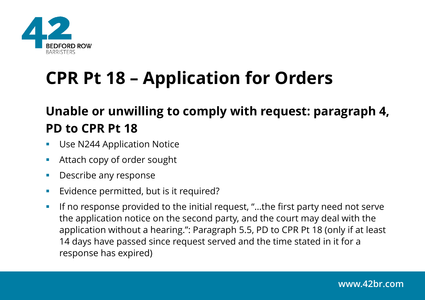

# **CPR Pt 18 – Application for Orders**

### **Unable or unwilling to comply with request: paragraph 4, PD to CPR Pt 18**

- **Use N244 Application Notice**
- Attach copy of order sought
- **•** Describe any response
- Evidence permitted, but is it required?
- If no response provided to the initial request, "...the first party need not serve the application notice on the second party, and the court may deal with the application without a hearing.": Paragraph 5.5, PD to CPR Pt 18 (only if at least 14 days have passed since request served and the time stated in it for a response has expired)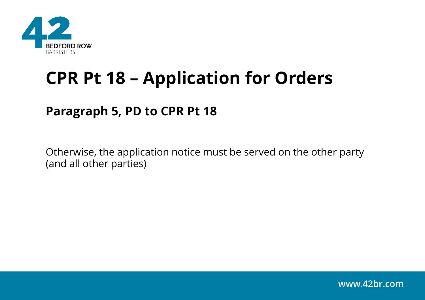

## **CPR Pt 18 – Application for Orders**

### **Paragraph 5, PD to CPR Pt 18**

Otherwise, the application notice must be served on the other party (and all other parties)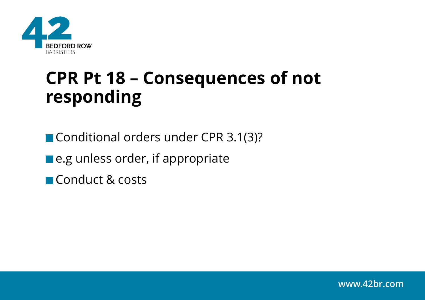

## **CPR Pt 18 – Consequences of not responding**

Conditional orders under CPR 3.1(3)?

■ e.g unless order, if appropriate

Conduct & costs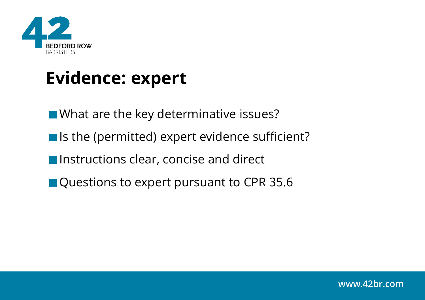

## **Evidence: expert**

What are the key determinative issues?

- Is the (permitted) expert evidence sufficient?
- **Instructions clear, concise and direct**
- Questions to expert pursuant to CPR 35.6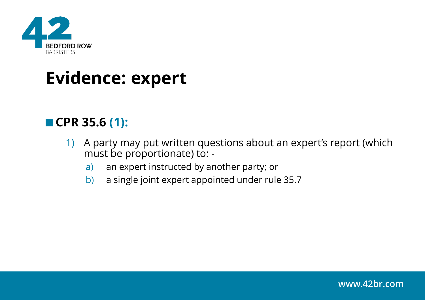

### **Evidence: expert**

### ■ CPR 35.6 (1):

- 1) A party may put written questions about an expert's report (which must be proportionate) to:
	- a) an expert instructed by another party; or
	- b) a single joint expert appointed under rule 35.7

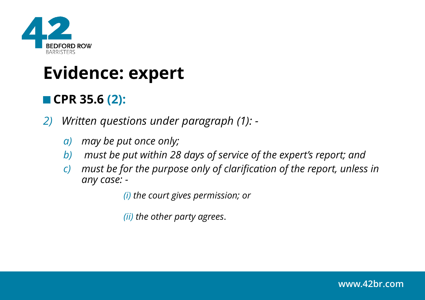

### **Evidence: expert**

### ■ CPR 35.6 (2):

*2) Written questions under paragraph (1): -*

- *a) may be put once only;*
- *b) must be put within 28 days of service of the expert's report; and*
- *c) must be for the purpose only of clarification of the report, unless in any case: -*

*(i) the court gives permission; or*

*(ii) the other party agrees*.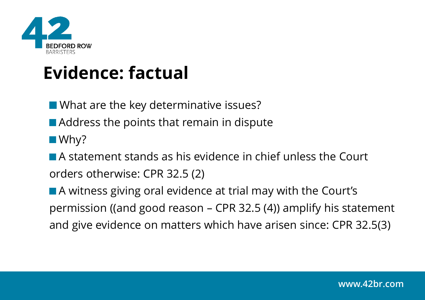

## **Evidence: factual**

**Notable Millen** What are the key determinative issues?

- Address the points that remain in dispute
- Why?

A statement stands as his evidence in chief unless the Court orders otherwise: CPR 32.5 (2)

■ A witness giving oral evidence at trial may with the Court's permission ((and good reason – CPR 32.5 (4)) amplify his statement and give evidence on matters which have arisen since: CPR 32.5(3)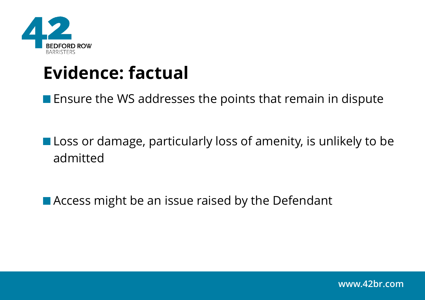

## **Evidence: factual**

**Ensure the WS addresses the points that remain in dispute** 

**Loss or damage, particularly loss of amenity, is unlikely to be** admitted

■ Access might be an issue raised by the Defendant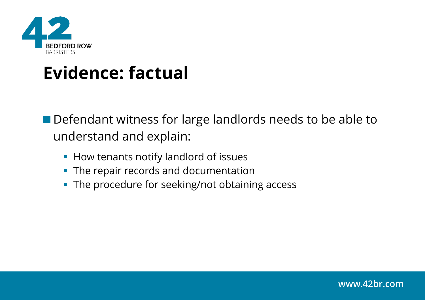

## **Evidence: factual**

Defendant witness for large landlords needs to be able to understand and explain:

- How tenants notify landlord of issues
- **The repair records and documentation**
- **The procedure for seeking/not obtaining access**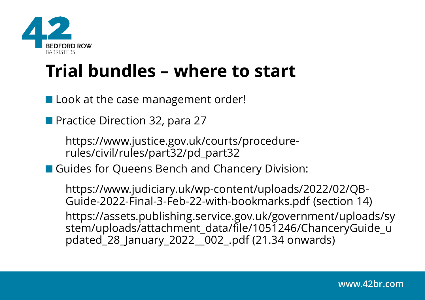

## **Trial bundles – where to start**

■ Look at the case management order!

**Practice Direction 32, para 27** 

https://www.justice.gov.uk/courts/procedurerules/civil/rules/part32/pd\_part32

**Guides for Queens Bench and Chancery Division:** 

https://www.judiciary.uk/wp-content/uploads/2022/02/QB-Guide-2022-Final-3-Feb-22-with-bookmarks.pdf (section 14) https://assets.publishing.service.gov.uk/government/uploads/sy stem/uploads/attachment\_data/file/1051246/ChanceryGuide\_u pdated\_28\_January\_2022\_\_002\_.pdf (21.34 onwards)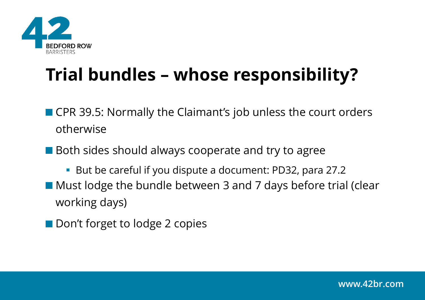

# **Trial bundles – whose responsibility?**

- CPR 39.5: Normally the Claimant's job unless the court orders otherwise
- Both sides should always cooperate and try to agree
- But be careful if you dispute a document: PD32, para 27.2 ■ Must lodge the bundle between 3 and 7 days before trial (clear working days)
- Don't forget to lodge 2 copies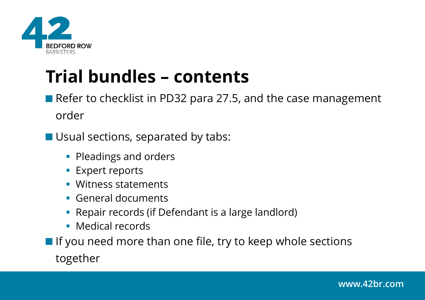

## **Trial bundles – contents**

Refer to checklist in PD32 para 27.5, and the case management order

**Usual sections, separated by tabs:** 

- Pleadings and orders
- **Expert reports**
- Witness statements
- General documents
- Repair records (if Defendant is a large landlord)
- Medical records
- $\blacksquare$  If you need more than one file, try to keep whole sections together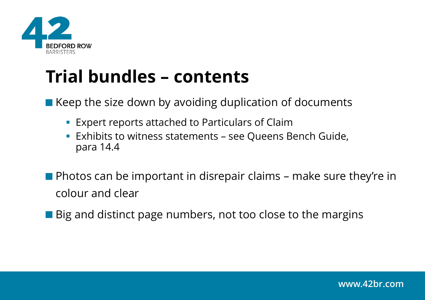

## **Trial bundles – contents**

 $\blacksquare$  Keep the size down by avoiding duplication of documents

- **Expert reports attached to Particulars of Claim**
- **Exhibits to witness statements see Queens Bench Guide,** para 14.4
- **Photos can be important in disrepair claims make sure they're in** colour and clear
- Big and distinct page numbers, not too close to the margins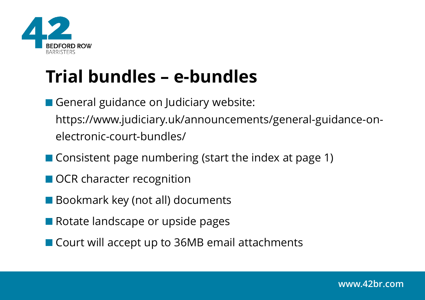

# **Trial bundles – e-bundles**

General guidance on Judiciary website: https://www.judiciary.uk/announcements/general-guidance-onelectronic-court-bundles/

- Consistent page numbering (start the index at page 1)
- OCR character recognition
- Bookmark key (not all) documents
- Rotate landscape or upside pages
- Court will accept up to 36MB email attachments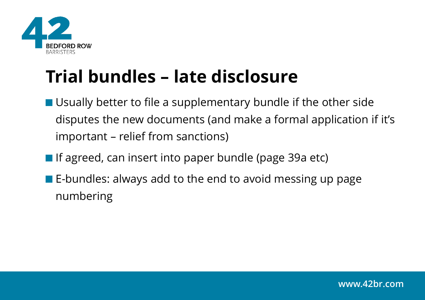

# **Trial bundles – late disclosure**

- Usually better to file a supplementary bundle if the other side disputes the new documents (and make a formal application if it's important – relief from sanctions)
- **If agreed, can insert into paper bundle (page 39a etc)**
- $\blacksquare$  E-bundles: always add to the end to avoid messing up page numbering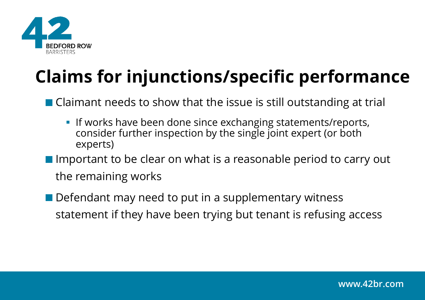

# **Claims for injunctions/specific performance**

■ Claimant needs to show that the issue is still outstanding at trial

**.** If works have been done since exchanging statements/reports, consider further inspection by the single joint expert (or both experts)

Important to be clear on what is a reasonable period to carry out the remaining works

Defendant may need to put in a supplementary witness statement if they have been trying but tenant is refusing access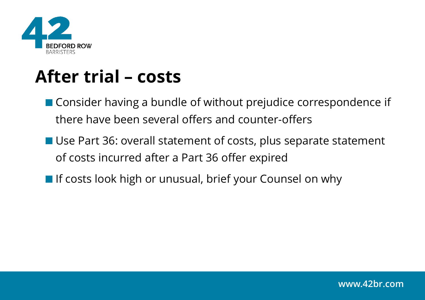

### **After trial – costs**

- Consider having a bundle of without prejudice correspondence if there have been several offers and counter-offers
- Use Part 36: overall statement of costs, plus separate statement of costs incurred after a Part 36 offer expired
- **If costs look high or unusual, brief your Counsel on why**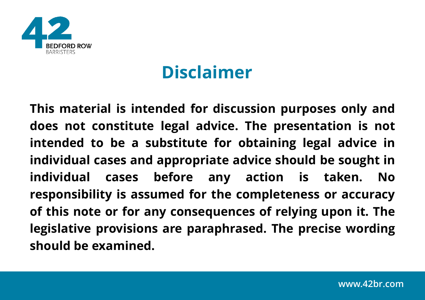

## **Disclaimer**

**This material is intended for discussion purposes only and does not constitute legal advice. The presentation is not intended to be a substitute for obtaining legal advice in individual cases and appropriate advice should be sought in individual cases before any action is taken. No responsibility is assumed for the completeness or accuracy of this note or for any consequences of relying upon it. The legislative provisions are paraphrased. The precise wording should be examined.**